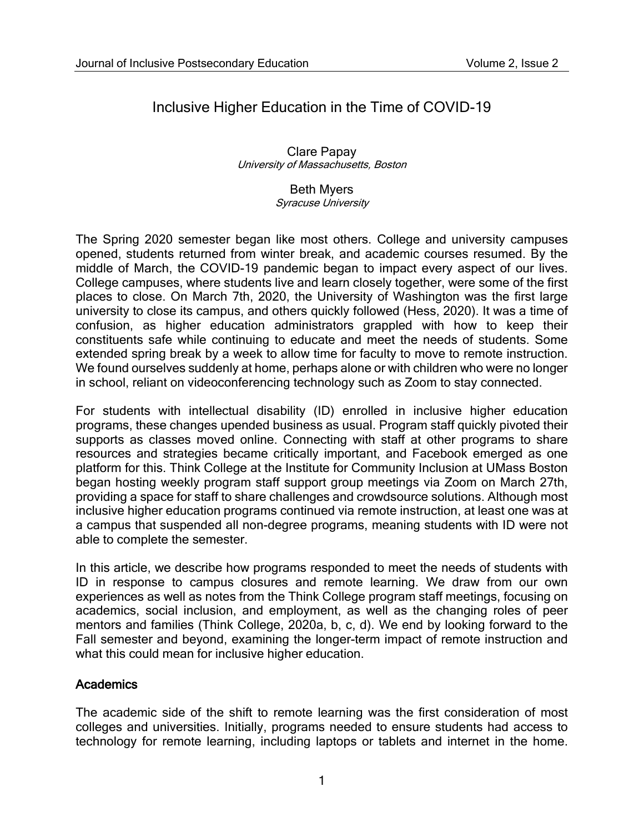# Inclusive Higher Education in the Time of COVID-19

Clare Papay University of Massachusetts, Boston

#### Beth Myers

Syracuse University

The Spring 2020 semester began like most others. College and university campuses opened, students returned from winter break, and academic courses resumed. By the middle of March, the COVID-19 pandemic began to impact every aspect of our lives. College campuses, where students live and learn closely together, were some of the first places to close. On March 7th, 2020, the University of Washington was the first large university to close its campus, and others quickly followed (Hess, 2020). It was a time of confusion, as higher education administrators grappled with how to keep their constituents safe while continuing to educate and meet the needs of students. Some extended spring break by a week to allow time for faculty to move to remote instruction. We found ourselves suddenly at home, perhaps alone or with children who were no longer in school, reliant on videoconferencing technology such as Zoom to stay connected.

For students with intellectual disability (ID) enrolled in inclusive higher education programs, these changes upended business as usual. Program staff quickly pivoted their supports as classes moved online. Connecting with staff at other programs to share resources and strategies became critically important, and Facebook emerged as one platform for this. Think College at the Institute for Community Inclusion at UMass Boston began hosting weekly program staff support group meetings via Zoom on March 27th, providing a space for staff to share challenges and crowdsource solutions. Although most inclusive higher education programs continued via remote instruction, at least one was at a campus that suspended all non-degree programs, meaning students with ID were not able to complete the semester.

In this article, we describe how programs responded to meet the needs of students with ID in response to campus closures and remote learning. We draw from our own experiences as well as notes from the Think College program staff meetings, focusing on academics, social inclusion, and employment, as well as the changing roles of peer mentors and families (Think College, 2020a, b, c, d). We end by looking forward to the Fall semester and beyond, examining the longer-term impact of remote instruction and what this could mean for inclusive higher education.

## **Academics**

The academic side of the shift to remote learning was the first consideration of most colleges and universities. Initially, programs needed to ensure students had access to technology for remote learning, including laptops or tablets and internet in the home.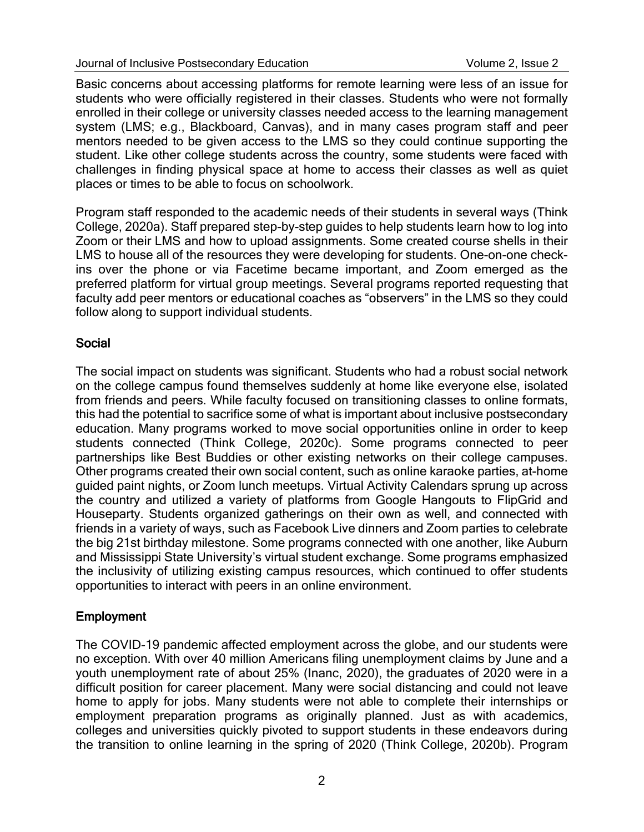Basic concerns about accessing platforms for remote learning were less of an issue for students who were officially registered in their classes. Students who were not formally enrolled in their college or university classes needed access to the learning management system (LMS; e.g., Blackboard, Canvas), and in many cases program staff and peer mentors needed to be given access to the LMS so they could continue supporting the student. Like other college students across the country, some students were faced with challenges in finding physical space at home to access their classes as well as quiet places or times to be able to focus on schoolwork.

Program staff responded to the academic needs of their students in several ways (Think College, 2020a). Staff prepared step-by-step guides to help students learn how to log into Zoom or their LMS and how to upload assignments. Some created course shells in their LMS to house all of the resources they were developing for students. One-on-one checkins over the phone or via Facetime became important, and Zoom emerged as the preferred platform for virtual group meetings. Several programs reported requesting that faculty add peer mentors or educational coaches as "observers" in the LMS so they could follow along to support individual students.

## **Social**

The social impact on students was significant. Students who had a robust social network on the college campus found themselves suddenly at home like everyone else, isolated from friends and peers. While faculty focused on transitioning classes to online formats, this had the potential to sacrifice some of what is important about inclusive postsecondary education. Many programs worked to move social opportunities online in order to keep students connected (Think College, 2020c). Some programs connected to peer partnerships like Best Buddies or other existing networks on their college campuses. Other programs created their own social content, such as online karaoke parties, at-home guided paint nights, or Zoom lunch meetups. Virtual Activity Calendars sprung up across the country and utilized a variety of platforms from Google Hangouts to FlipGrid and Houseparty. Students organized gatherings on their own as well, and connected with friends in a variety of ways, such as Facebook Live dinners and Zoom parties to celebrate the big 21st birthday milestone. Some programs connected with one another, like Auburn and Mississippi State University's virtual student exchange. Some programs emphasized the inclusivity of utilizing existing campus resources, which continued to offer students opportunities to interact with peers in an online environment.

## Employment

The COVID-19 pandemic affected employment across the globe, and our students were no exception. With over 40 million Americans filing unemployment claims by June and a youth unemployment rate of about 25% (Inanc, 2020), the graduates of 2020 were in a difficult position for career placement. Many were social distancing and could not leave home to apply for jobs. Many students were not able to complete their internships or employment preparation programs as originally planned. Just as with academics, colleges and universities quickly pivoted to support students in these endeavors during the transition to online learning in the spring of 2020 (Think College, 2020b). Program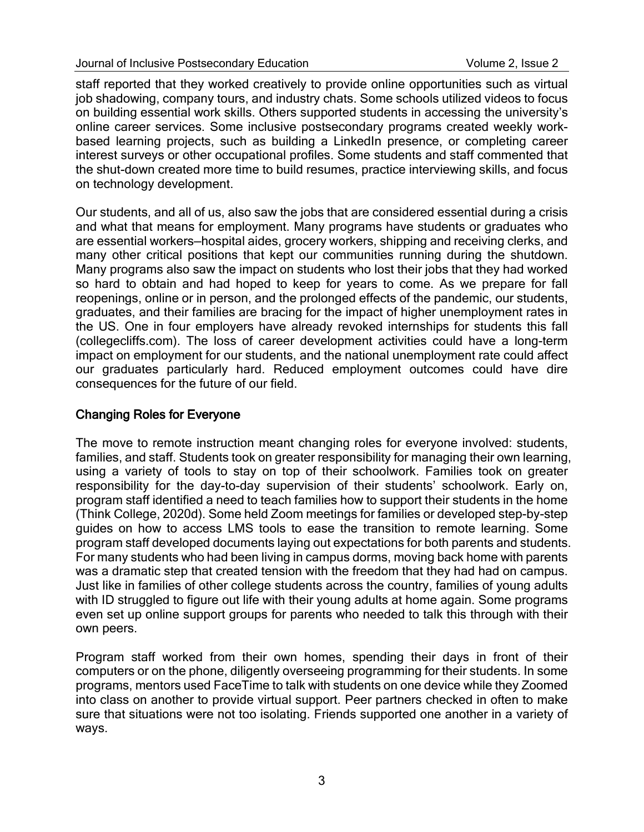staff reported that they worked creatively to provide online opportunities such as virtual job shadowing, company tours, and industry chats. Some schools utilized videos to focus on building essential work skills. Others supported students in accessing the university's online career services. Some inclusive postsecondary programs created weekly workbased learning projects, such as building a LinkedIn presence, or completing career interest surveys or other occupational profiles. Some students and staff commented that the shut-down created more time to build resumes, practice interviewing skills, and focus on technology development.

Our students, and all of us, also saw the jobs that are considered essential during a crisis and what that means for employment. Many programs have students or graduates who are essential workers—hospital aides, grocery workers, shipping and receiving clerks, and many other critical positions that kept our communities running during the shutdown. Many programs also saw the impact on students who lost their jobs that they had worked so hard to obtain and had hoped to keep for years to come. As we prepare for fall reopenings, online or in person, and the prolonged effects of the pandemic, our students, graduates, and their families are bracing for the impact of higher unemployment rates in the US. One in four employers have already revoked internships for students this fall (collegecliffs.com). The loss of career development activities could have a long-term impact on employment for our students, and the national unemployment rate could affect our graduates particularly hard. Reduced employment outcomes could have dire consequences for the future of our field.

# Changing Roles for Everyone

The move to remote instruction meant changing roles for everyone involved: students, families, and staff. Students took on greater responsibility for managing their own learning, using a variety of tools to stay on top of their schoolwork. Families took on greater responsibility for the day-to-day supervision of their students' schoolwork. Early on, program staff identified a need to teach families how to support their students in the home (Think College, 2020d). Some held Zoom meetings for families or developed step-by-step guides on how to access LMS tools to ease the transition to remote learning. Some program staff developed documents laying out expectations for both parents and students. For many students who had been living in campus dorms, moving back home with parents was a dramatic step that created tension with the freedom that they had had on campus. Just like in families of other college students across the country, families of young adults with ID struggled to figure out life with their young adults at home again. Some programs even set up online support groups for parents who needed to talk this through with their own peers.

Program staff worked from their own homes, spending their days in front of their computers or on the phone, diligently overseeing programming for their students. In some programs, mentors used FaceTime to talk with students on one device while they Zoomed into class on another to provide virtual support. Peer partners checked in often to make sure that situations were not too isolating. Friends supported one another in a variety of ways.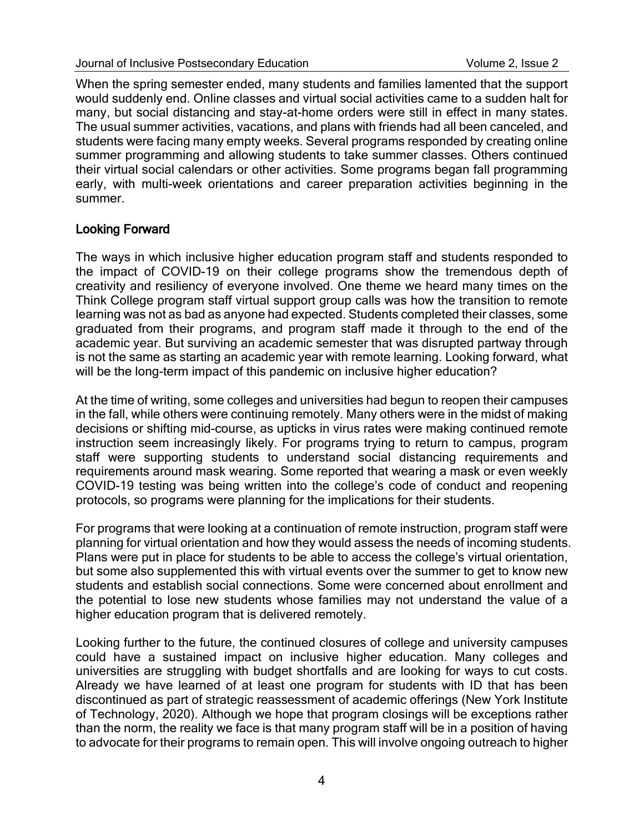When the spring semester ended, many students and families lamented that the support would suddenly end. Online classes and virtual social activities came to a sudden halt for many, but social distancing and stay-at-home orders were still in effect in many states. The usual summer activities, vacations, and plans with friends had all been canceled, and students were facing many empty weeks. Several programs responded by creating online summer programming and allowing students to take summer classes. Others continued their virtual social calendars or other activities. Some programs began fall programming early, with multi-week orientations and career preparation activities beginning in the summer.

## Looking Forward

The ways in which inclusive higher education program staff and students responded to the impact of COVID-19 on their college programs show the tremendous depth of creativity and resiliency of everyone involved. One theme we heard many times on the Think College program staff virtual support group calls was how the transition to remote learning was not as bad as anyone had expected. Students completed their classes, some graduated from their programs, and program staff made it through to the end of the academic year. But surviving an academic semester that was disrupted partway through is not the same as starting an academic year with remote learning. Looking forward, what will be the long-term impact of this pandemic on inclusive higher education?

At the time of writing, some colleges and universities had begun to reopen their campuses in the fall, while others were continuing remotely. Many others were in the midst of making decisions or shifting mid-course, as upticks in virus rates were making continued remote instruction seem increasingly likely. For programs trying to return to campus, program staff were supporting students to understand social distancing requirements and requirements around mask wearing. Some reported that wearing a mask or even weekly COVID-19 testing was being written into the college's code of conduct and reopening protocols, so programs were planning for the implications for their students.

For programs that were looking at a continuation of remote instruction, program staff were planning for virtual orientation and how they would assess the needs of incoming students. Plans were put in place for students to be able to access the college's virtual orientation, but some also supplemented this with virtual events over the summer to get to know new students and establish social connections. Some were concerned about enrollment and the potential to lose new students whose families may not understand the value of a higher education program that is delivered remotely.

Looking further to the future, the continued closures of college and university campuses could have a sustained impact on inclusive higher education. Many colleges and universities are struggling with budget shortfalls and are looking for ways to cut costs. Already we have learned of at least one program for students with ID that has been discontinued as part of strategic reassessment of academic offerings (New York Institute of Technology, 2020). Although we hope that program closings will be exceptions rather than the norm, the reality we face is that many program staff will be in a position of having to advocate for their programs to remain open. This will involve ongoing outreach to higher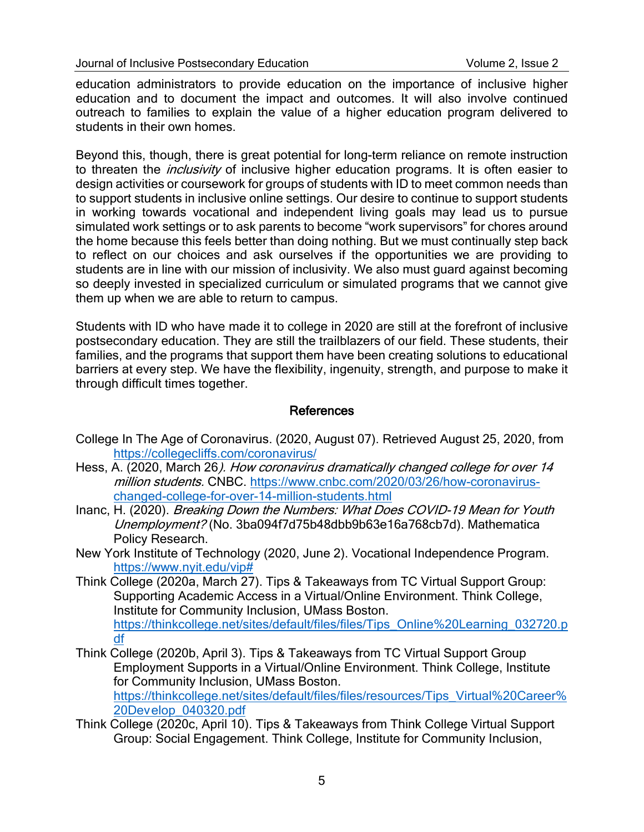education administrators to provide education on the importance of inclusive higher education and to document the impact and outcomes. It will also involve continued outreach to families to explain the value of a higher education program delivered to students in their own homes.

Beyond this, though, there is great potential for long-term reliance on remote instruction to threaten the *inclusivity* of inclusive higher education programs. It is often easier to design activities or coursework for groups of students with ID to meet common needs than to support students in inclusive online settings. Our desire to continue to support students in working towards vocational and independent living goals may lead us to pursue simulated work settings or to ask parents to become "work supervisors" for chores around the home because this feels better than doing nothing. But we must continually step back to reflect on our choices and ask ourselves if the opportunities we are providing to students are in line with our mission of inclusivity. We also must guard against becoming so deeply invested in specialized curriculum or simulated programs that we cannot give them up when we are able to return to campus.

Students with ID who have made it to college in 2020 are still at the forefront of inclusive postsecondary education. They are still the trailblazers of our field. These students, their families, and the programs that support them have been creating solutions to educational barriers at every step. We have the flexibility, ingenuity, strength, and purpose to make it through difficult times together.

#### References

- College In The Age of Coronavirus. (2020, August 07). Retrieved August 25, 2020, from <https://collegecliffs.com/coronavirus/>
- Hess, A. (2020, March 26). How coronavirus dramatically changed college for over 14 million students. CNBC. [https://www.cnbc.com/2020/03/26/how-coronavirus](https://www.cnbc.com/2020/03/26/how-coronavirus-changed-college-for-over-14-million-students.html)[changed-college-for-over-14-million-students.html](https://www.cnbc.com/2020/03/26/how-coronavirus-changed-college-for-over-14-million-students.html)
- Inanc, H. (2020). Breaking Down the Numbers: What Does COVID-19 Mean for Youth Unemployment? (No. 3ba094f7d75b48dbb9b63e16a768cb7d). Mathematica Policy Research.
- New York Institute of Technology (2020, June 2). Vocational Independence Program. [https://www.nyit.edu/vip#](https://www.nyit.edu/vip)
- Think College (2020a, March 27). Tips & Takeaways from TC Virtual Support Group: Supporting Academic Access in a Virtual/Online Environment. Think College, Institute for Community Inclusion, UMass Boston. [https://thinkcollege.net/sites/default/files/files/Tips\\_Online%20Learning\\_032720.p](https://thinkcollege.net/sites/default/files/files/Tips_Online%20Learning_032720.pdf) [df](https://thinkcollege.net/sites/default/files/files/Tips_Online%20Learning_032720.pdf)
- Think College (2020b, April 3). Tips & Takeaways from TC Virtual Support Group Employment Supports in a Virtual/Online Environment. Think College, Institute for Community Inclusion, UMass Boston. [https://thinkcollege.net/sites/default/files/files/resources/Tips\\_Virtual%20Career%](https://thinkcollege.net/sites/default/files/files/resources/Tips_Virtual%20Career%20Dev%09elop_040320.pdf) [20Develop\\_040320.pdf](https://thinkcollege.net/sites/default/files/files/resources/Tips_Virtual%20Career%20Dev%09elop_040320.pdf)
- Think College (2020c, April 10). Tips & Takeaways from Think College Virtual Support Group: Social Engagement. Think College, Institute for Community Inclusion,